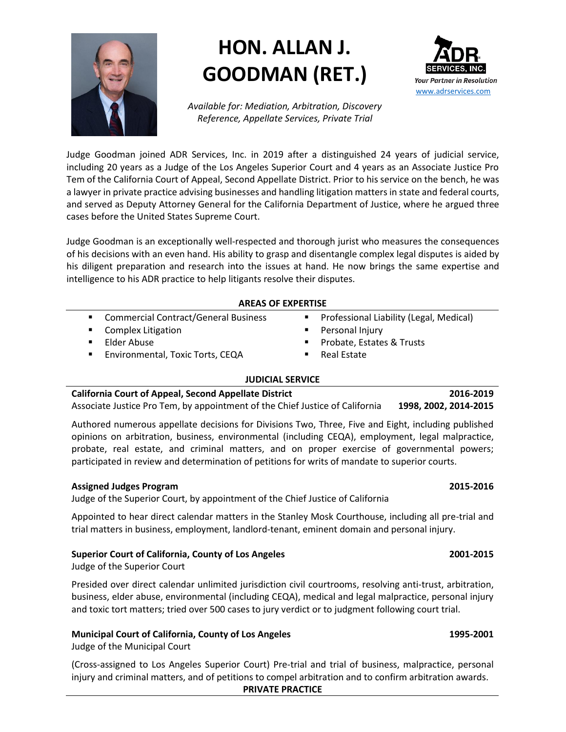

# **HON. ALLAN J. GOODMAN (RET.)**



*Available for: Mediation, Arbitration, Discovery Reference, Appellate Services, Private Trial*

Judge Goodman joined ADR Services, Inc. in 2019 after a distinguished 24 years of judicial service, including 20 years as a Judge of the Los Angeles Superior Court and 4 years as an Associate Justice Pro Tem of the California Court of Appeal, Second Appellate District. Prior to his service on the bench, he was a lawyer in private practice advising businesses and handling litigation matters in state and federal courts, and served as Deputy Attorney General for the California Department of Justice, where he argued three cases before the United States Supreme Court.

Judge Goodman is an exceptionally well-respected and thorough jurist who measures the consequences of his decisions with an even hand. His ability to grasp and disentangle complex legal disputes is aided by his diligent preparation and research into the issues at hand. He now brings the same expertise and intelligence to his ADR practice to help litigants resolve their disputes.

| <b>AREAS OF EXPERTISE</b>                                   |                                           |  |
|-------------------------------------------------------------|-------------------------------------------|--|
| <b>Commercial Contract/General Business</b><br>$\mathbf{r}$ | • Professional Liability (Legal, Medical) |  |
| Complex Litigation<br>$\blacksquare$                        | • Personal Injury                         |  |
| Elder Abuse<br>$\blacksquare$                               | ■ Probate, Estates & Trusts               |  |
| Environmental, Toxic Torts, CEQA<br>$\blacksquare$          | Real Estate                               |  |

### **JUDICIAL SERVICE**

### **California Court of Appeal, Second Appellate District** Associate Justice Pro Tem, by appointment of the Chief Justice of California **2016-2019 1998, 2002, 2014-2015**

Authored numerous appellate decisions for Divisions Two, Three, Five and Eight, including published opinions on arbitration, business, environmental (including CEQA), employment, legal malpractice, probate, real estate, and criminal matters, and on proper exercise of governmental powers; participated in review and determination of petitions for writs of mandate to superior courts.

## **Assigned Judges Program 2015-2016**

Judge of the Superior Court, by appointment of the Chief Justice of California

Appointed to hear direct calendar matters in the Stanley Mosk Courthouse, including all pre-trial and trial matters in business, employment, landlord-tenant, eminent domain and personal injury.

## **Superior Court of California, County of Los Angeles 2001-2015**

Judge of the Superior Court

Presided over direct calendar unlimited jurisdiction civil courtrooms, resolving anti-trust, arbitration, business, elder abuse, environmental (including CEQA), medical and legal malpractice, personal injury and toxic tort matters; tried over 500 cases to jury verdict or to judgment following court trial.

## **Municipal Court of California, County of Los Angeles 1995-2001**

Judge of the Municipal Court

(Cross-assigned to Los Angeles Superior Court) Pre-trial and trial of business, malpractice, personal injury and criminal matters, and of petitions to compel arbitration and to confirm arbitration awards.

### **PRIVATE PRACTICE**